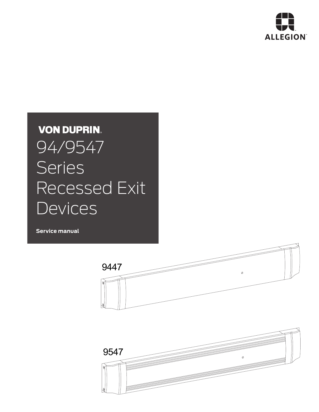

# **VON DUPRIN.** 94/9547 **Series** Recessed Exit **Devices**

**Service manual**



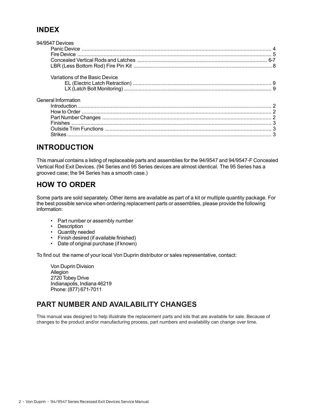#### **INDEX**

| 94/9547 Devices                |  |
|--------------------------------|--|
|                                |  |
|                                |  |
|                                |  |
|                                |  |
| Variations of the Basic Device |  |
|                                |  |
|                                |  |
| General Information            |  |
|                                |  |
|                                |  |
|                                |  |
|                                |  |
|                                |  |
|                                |  |
|                                |  |

#### **INTRODUCTION**

This manual contains a listing of replaceable parts and assemblies for the 94/9547 and 94/9547-F Concealed Vertical Rod Exit Devices. (94 Series and 95 Series devices are almost identical. The 95 Series has a grooved case; the 94 Series has a smooth case.)

#### **HOW TO ORDER**

Some parts are sold separately. Other items are available as part of a kit or multiple quantity package. For the best possible service when ordering replacement parts or assemblies, please provide the following information:

- Part number or assembly number
- Description
- Quantity needed
- Finish desired (if available finished)
- Date of original purchase (if known)

To find out the name of your local Von Duprin distributor or sales representative, contact:

Von Duprin Division Allegion 2720 Tobey Drive Indianapolis, Indiana 46219 Phone: (877) 671-7011

#### **PART NUMBER AND AVAILABILITY CHANGES**

This manual was designed to help illustrate the replacement parts and kits that are available for sale. Because of changes to the product and/or manufacturing process, part numbers and availability can change over time.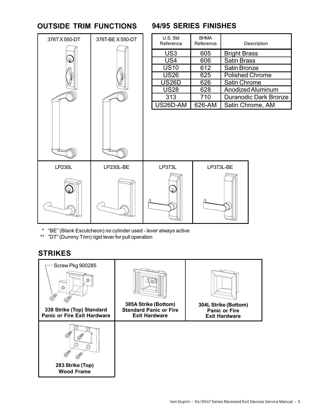#### **OUTSIDE TRIM FUNCTIONS**

## LP230L 376TX550-DT 376T-BEX550-DT <u>US3</u> <u>US4</u> US10 US26 <u>US26D</u> <u>US28</u> 313 U.S. Std Reference

|  |  | 94/95 SERIES FINISHES |  |
|--|--|-----------------------|--|
|--|--|-----------------------|--|

| U.S. Std<br>Reference | <b>BHMA</b><br>Reference | Description                  |
|-----------------------|--------------------------|------------------------------|
| US <sub>3</sub>       | 605                      | <b>Bright Brass</b>          |
| US4                   | 606                      | <b>Satin Brass</b>           |
| <b>US10</b>           | 612                      | <b>Satin Bronze</b>          |
| <b>US26</b>           | 625                      | <b>Polished Chrome</b>       |
| <b>US26D</b>          | 626                      | Satin Chrome                 |
| <b>US28</b>           | 628                      | <b>Anodized Aluminum</b>     |
| 313                   | 710                      | <b>Duranodic Dark Bronze</b> |
| US26D-AM              | 626-AM                   | Satin Chrome, AM             |



\* "BE" (Blank Escutcheon) no cylinder used - lever always active

\*\* "DT" (Dummy Trim) rigid lever for pull operation

#### **STRIKES**

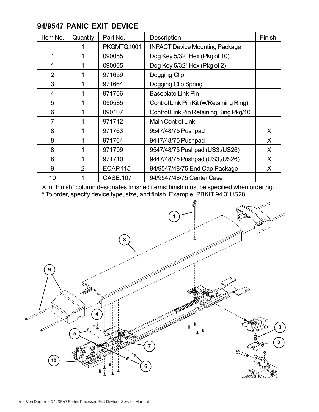| Item No.       | Quantity       | Part No.        | Description                             | Finish |
|----------------|----------------|-----------------|-----------------------------------------|--------|
|                |                | PKGMTG.1001     | <b>INPACT Device Mounting Package</b>   |        |
|                |                | 090085          | Dog Key 5/32" Hex (Pkg of 10)           |        |
| 1              | 1              | 090005          | Dog Key 5/32" Hex (Pkg of 2)            |        |
| $\overline{2}$ |                | 971659          | Dogging Clip                            |        |
| 3              |                | 971664          | Dogging Clip Spring                     |        |
| 4              | 1              | 971706          | <b>Baseplate Link Pin</b>               |        |
| 5              |                | 050585          | Control Link Pin Kit (w/Retaining Ring) |        |
| 6              |                | 090107          | Control Link Pin Retaining Ring Pkg/10  |        |
| $\overline{7}$ | 1              | 971712          | <b>Main Control Link</b>                |        |
| 8              |                | 971763          | 9547/48/75 Pushpad                      | X      |
| 8              |                | 971764          | 9447/48/75 Pushpad                      | X      |
| 8              |                | 971709          | 9547/48/75 Pushpad (US3,/US26)          | X.     |
| 8              | 1              | 971710          | 9447/48/75 Pushpad (US3,/US26)          | X      |
| 9              | $\overline{2}$ | <b>ECAP.115</b> | 94/9547/48/75 End Cap Package           | X      |
| 10             |                | <b>CASE.107</b> | 94/9547/48/75 Center Case               |        |

X in "Finish" column designates finished items; finish must be specified when ordering. \* To order, specify device type, size, and finish. Example: PBKIT 94 3' US28

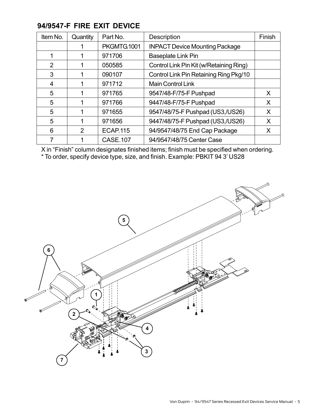| Item No. | Quantity       | Part No.        | Description                             | Finish |
|----------|----------------|-----------------|-----------------------------------------|--------|
|          |                | PKGMTG.1001     | <b>INPACT Device Mounting Package</b>   |        |
|          |                | 971706          | <b>Baseplate Link Pin</b>               |        |
| 2        |                | 050585          | Control Link Pin Kit (w/Retaining Ring) |        |
| 3        |                | 090107          | Control Link Pin Retaining Ring Pkg/10  |        |
| 4        |                | 971712          | <b>Main Control Link</b>                |        |
| 5        |                | 971765          | 9547/48-F/75-F Pushpad                  | X.     |
| 5        |                | 971766          | 9447/48-F/75-F Pushpad                  | X      |
| 5        |                | 971655          | 9547/48/75-F Pushpad (US3,/US26)        | X      |
| 5        |                | 971656          | 9447/48/75-F Pushpad (US3,/US26)        | X      |
| 6        | $\overline{2}$ | <b>ECAP.115</b> | 94/9547/48/75 End Cap Package           |        |
|          |                | <b>CASE.107</b> | 94/9547/48/75 Center Case               |        |

#### **94/9547-F FIRE EXIT DEVICE**

X in "Finish" column designates finished items; finish must be specified when ordering. \* To order, specify device type, size, and finish. Example: PBKIT 94 3' US28

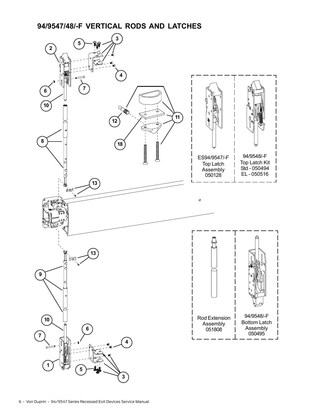#### **94/9547/48/-F VERTICAL RODS AND LATCHES**

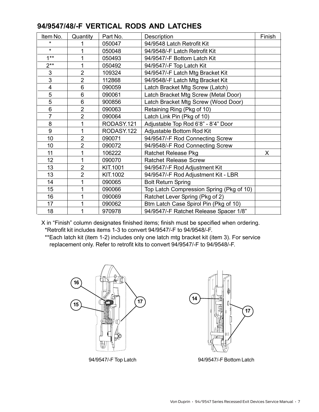#### **94/9547/48/-F VERTICAL RODS AND LATCHES**

| Item No.       | Quantity       | Part No.   | Description                              | Finish |
|----------------|----------------|------------|------------------------------------------|--------|
| $\star$        |                | 050047     | 94/9548 Latch Retrofit Kit               |        |
| $\star$        | 1              | 050048     | 94/9548/-F Latch Retrofit Kit            |        |
| $1^{**}$       | 1              | 050493     | 94/9547/-F Bottom Latch Kit              |        |
| $2***$         | 1              | 050492     | 94/9547/-F Top Latch Kit                 |        |
| 3              | $\overline{2}$ | 109324     | 94/9547/-F Latch Mtg Bracket Kit         |        |
| 3              | $\overline{2}$ | 112868     | 94/9548/-F Latch Mtg Bracket Kit         |        |
| 4              | 6              | 090059     | Latch Bracket Mtg Screw (Latch)          |        |
| 5              | 6              | 090061     | Latch Bracket Mtg Screw (Metal Door)     |        |
| 5              | 6              | 900856     | Latch Bracket Mtg Screw (Wood Door)      |        |
| 6              | $\overline{2}$ | 090063     | Retaining Ring (Pkg of 10)               |        |
| $\overline{7}$ | $\overline{2}$ | 090064     | Latch Link Pin (Pkg of 10)               |        |
| 8              | 1              | RODASY.121 | Adjustable Top Rod 6'8" - 8'4" Door      |        |
| 9              | 1              | RODASY.122 | Adjustable Bottom Rod Kit                |        |
| 10             | $\overline{2}$ | 090071     | 94/9547/-F Rod Connecting Screw          |        |
| 10             | $\overline{2}$ | 090072     | 94/9548/-F Rod Connecting Screw          |        |
| 11             | 1              | 106222     | <b>Ratchet Release Pkg</b>               | X.     |
| 12             | 1              | 090070     | <b>Ratchet Release Screw</b>             |        |
| 13             | $\overline{2}$ | KIT.1001   | 94/9547/-F Rod Adjustment Kit            |        |
| 13             | $\overline{2}$ | KIT.1002   | 94/9547/-F Rod Adjustment Kit - LBR      |        |
| 14             | 1              | 090065     | <b>Bolt Return Spring</b>                |        |
| 15             | 1              | 090066     | Top Latch Compression Spring (Pkg of 10) |        |
| 16             | 1              | 090069     | Ratchet Lever Spring (Pkg of 2)          |        |
| 17             | 1              | 090062     | Btm Latch Case Spirol Pin (Pkg of 10)    |        |
| 18             | 1              | 970978     | 94/9547/-F Ratchet Release Spacer 1/8"   |        |

X in "Finish" column designates finished items; finish must be specified when ordering. \*Retrofit kit includes items 1-3 to convert 94/9547/-F to 94/9548/-F.

\*\*Each latch kit (item 1-2) includes only one latch mtg bracket kit (item 3). For service replacement only. Refer to retrofit kits to convert 94/9547/-F to 94/9548/-F.





94/9547/-F Top Latch 94/9547/-F Bottom Latch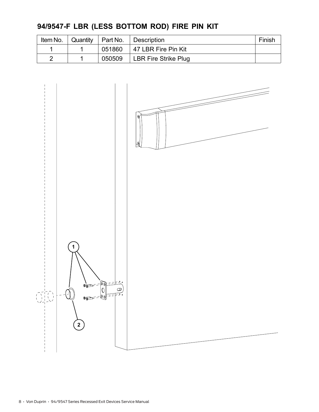### **94/9547-F LBR (LESS BOTTOM ROD) FIRE PIN KIT**

|  | Item No. $\vert$ Quantity $\vert$ Part No. $\vert$ | Description                 | Finish |
|--|----------------------------------------------------|-----------------------------|--------|
|  | 051860                                             | ∣ 47 LBR Fire Pin Kit       |        |
|  | 050509                                             | <b>LBR Fire Strike Plug</b> |        |

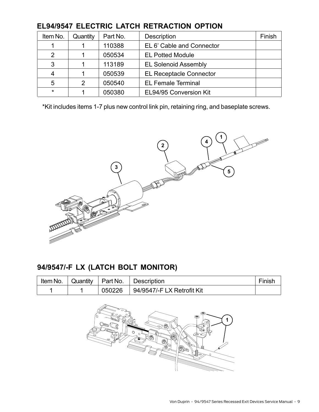| Item No. | Quantity | Part No. | <b>Description</b>             | Finish |
|----------|----------|----------|--------------------------------|--------|
|          |          | 110388   | EL 6' Cable and Connector      |        |
| 2        |          | 050534   | <b>EL Potted Module</b>        |        |
| 3        |          | 113189   | <b>EL Solenoid Assembly</b>    |        |
| 4        |          | 050539   | <b>EL Receptacle Connector</b> |        |
| 5        | 2        | 050540   | <b>EL Female Terminal</b>      |        |
| $\star$  |          | 050380   | EL94/95 Conversion Kit         |        |

#### **EL94/9547 ELECTRIC LATCH RETRACTION OPTION**

\*Kit includes items 1-7 plus new control link pin, retaining ring, and baseplate screws.



#### **94/9547/-F LX (LATCH BOLT MONITOR)**

|  |        | Item No. $\vert$ Quantity $\vert$ Part No. $\vert$ Description | Finish |
|--|--------|----------------------------------------------------------------|--------|
|  | 050226 | 94/9547/-F LX Retrofit Kit                                     |        |